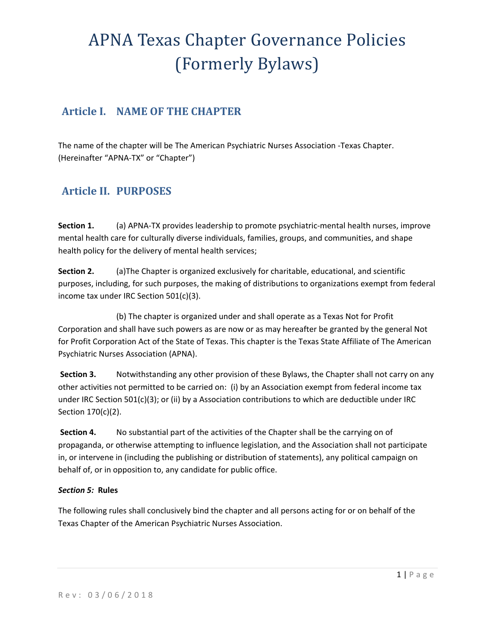## **Article I. NAME OF THE CHAPTER**

The name of the chapter will be The American Psychiatric Nurses Association ‐Texas Chapter. (Hereinafter "APNA‐TX" or "Chapter")

## **Article II. PURPOSES**

**Section 1.**  (a) APNA‐TX provides leadership to promote psychiatric‐mental health nurses, improve mental health care for culturally diverse individuals, families, groups, and communities, and shape health policy for the delivery of mental health services;

**Section 2.** (a)The Chapter is organized exclusively for charitable, educational, and scientific purposes, including, for such purposes, the making of distributions to organizations exempt from federal income tax under IRC Section 501(c)(3).

(b) The chapter is organized under and shall operate as a Texas Not for Profit Corporation and shall have such powers as are now or as may hereafter be granted by the general Not for Profit Corporation Act of the State of Texas. This chapter is the Texas State Affiliate of The American Psychiatric Nurses Association (APNA).

**Section 3.** Notwithstanding any other provision of these Bylaws, the Chapter shall not carry on any other activities not permitted to be carried on: (i) by an Association exempt from federal income tax under IRC Section 501(c)(3); or (ii) by a Association contributions to which are deductible under IRC Section 170(c)(2).

**Section 4.** No substantial part of the activities of the Chapter shall be the carrying on of propaganda, or otherwise attempting to influence legislation, and the Association shall not participate in, or intervene in (including the publishing or distribution of statements), any political campaign on behalf of, or in opposition to, any candidate for public office.

#### *Section 5:* **Rules**

The following rules shall conclusively bind the chapter and all persons acting for or on behalf of the Texas Chapter of the American Psychiatric Nurses Association.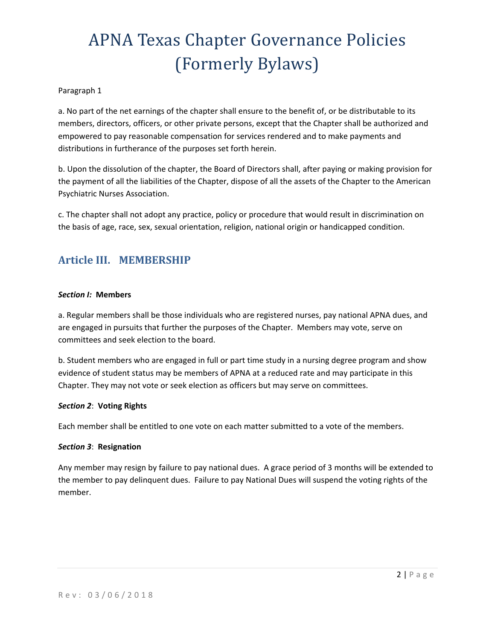#### Paragraph 1

a. No part of the net earnings of the chapter shall ensure to the benefit of, or be distributable to its members, directors, officers, or other private persons, except that the Chapter shall be authorized and empowered to pay reasonable compensation for services rendered and to make payments and distributions in furtherance of the purposes set forth herein.

b. Upon the dissolution of the chapter, the Board of Directors shall, after paying or making provision for the payment of all the liabilities of the Chapter, dispose of all the assets of the Chapter to the American Psychiatric Nurses Association.

c. The chapter shall not adopt any practice, policy or procedure that would result in discrimination on the basis of age, race, sex, sexual orientation, religion, national origin or handicapped condition.

## **Article III. MEMBERSHIP**

#### *Section I:* **Members**

a. Regular members shall be those individuals who are registered nurses, pay national APNA dues, and are engaged in pursuits that further the purposes of the Chapter. Members may vote, serve on committees and seek election to the board.

b. Student members who are engaged in full or part time study in a nursing degree program and show evidence of student status may be members of APNA at a reduced rate and may participate in this Chapter. They may not vote or seek election as officers but may serve on committees.

#### *Section 2*: **Voting Rights**

Each member shall be entitled to one vote on each matter submitted to a vote of the members.

#### *Section 3*: **Resignation**

Any member may resign by failure to pay national dues. A grace period of 3 months will be extended to the member to pay delinquent dues. Failure to pay National Dues will suspend the voting rights of the member.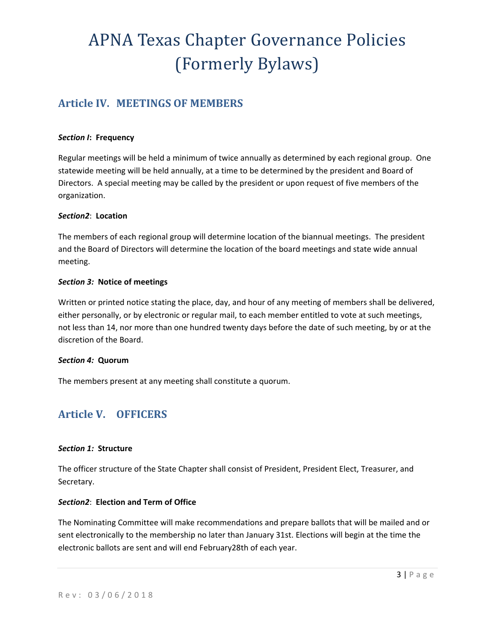## **Article IV. MEETINGS OF MEMBERS**

#### *Section I***: Frequency**

Regular meetings will be held a minimum of twice annually as determined by each regional group. One statewide meeting will be held annually, at a time to be determined by the president and Board of Directors. A special meeting may be called by the president or upon request of five members of the organization.

#### *Section2*: **Location**

The members of each regional group will determine location of the biannual meetings. The president and the Board of Directors will determine the location of the board meetings and state wide annual meeting.

#### *Section 3:* **Notice of meetings**

Written or printed notice stating the place, day, and hour of any meeting of members shall be delivered, either personally, or by electronic or regular mail, to each member entitled to vote at such meetings, not less than 14, nor more than one hundred twenty days before the date of such meeting, by or at the discretion of the Board.

#### *Section 4:* **Quorum**

The members present at any meeting shall constitute a quorum.

## **Article V. OFFICERS**

### *Section 1:* **Structure**

The officer structure of the State Chapter shall consist of President, President Elect, Treasurer, and Secretary.

### *Section2*: **Election and Term of Office**

The Nominating Committee will make recommendations and prepare ballots that will be mailed and or sent electronically to the membership no later than January 31st. Elections will begin at the time the electronic ballots are sent and will end February28th of each year.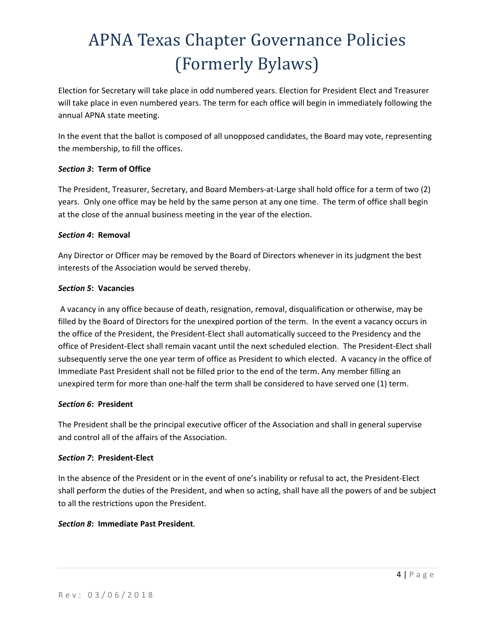Election for Secretary will take place in odd numbered years. Election for President Elect and Treasurer will take place in even numbered years. The term for each office will begin in immediately following the annual APNA state meeting.

In the event that the ballot is composed of all unopposed candidates, the Board may vote, representing the membership, to fill the offices.

### *Section 3***: Term of Office**

The President, Treasurer, Secretary, and Board Members‐at‐Large shall hold office for a term of two (2) years. Only one office may be held by the same person at any one time. The term of office shall begin at the close of the annual business meeting in the year of the election.

### *Section 4***: Removal**

Any Director or Officer may be removed by the Board of Directors whenever in its judgment the best interests of the Association would be served thereby.

### *Section 5***: Vacancies**

A vacancy in any office because of death, resignation, removal, disqualification or otherwise, may be filled by the Board of Directors for the unexpired portion of the term. In the event a vacancy occurs in the office of the President, the President‐Elect shall automatically succeed to the Presidency and the office of President‐Elect shall remain vacant until the next scheduled election. The President‐Elect shall subsequently serve the one year term of office as President to which elected. A vacancy in the office of Immediate Past President shall not be filled prior to the end of the term. Any member filling an unexpired term for more than one-half the term shall be considered to have served one (1) term.

#### *Section 6***: President**

The President shall be the principal executive officer of the Association and shall in general supervise and control all of the affairs of the Association.

### *Section 7***: President‐Elect**

In the absence of the President or in the event of one's inability or refusal to act, the President‐Elect shall perform the duties of the President, and when so acting, shall have all the powers of and be subject to all the restrictions upon the President. 

### *Section 8***: Immediate Past President**.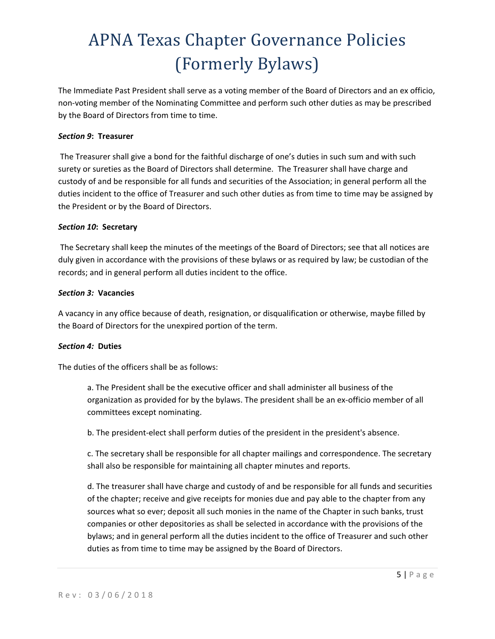The Immediate Past President shall serve as a voting member of the Board of Directors and an ex officio, non‐voting member of the Nominating Committee and perform such other duties as may be prescribed by the Board of Directors from time to time.

#### *Section 9***: Treasurer**

The Treasurer shall give a bond for the faithful discharge of one's duties in such sum and with such surety or sureties as the Board of Directors shall determine. The Treasurer shall have charge and custody of and be responsible for all funds and securities of the Association; in general perform all the duties incident to the office of Treasurer and such other duties as from time to time may be assigned by the President or by the Board of Directors.

#### *Section 10***: Secretary**

The Secretary shall keep the minutes of the meetings of the Board of Directors; see that all notices are duly given in accordance with the provisions of these bylaws or as required by law; be custodian of the records; and in general perform all duties incident to the office.

#### *Section 3:* **Vacancies**

A vacancy in any office because of death, resignation, or disqualification or otherwise, maybe filled by the Board of Directors for the unexpired portion of the term.

#### *Section 4:* **Duties**

The duties of the officers shall be as follows:

a. The President shall be the executive officer and shall administer all business of the organization as provided for by the bylaws. The president shall be an ex‐officio member of all committees except nominating.

b. The president‐elect shall perform duties of the president in the president's absence.

c. The secretary shall be responsible for all chapter mailings and correspondence. The secretary shall also be responsible for maintaining all chapter minutes and reports.

d. The treasurer shall have charge and custody of and be responsible for all funds and securities of the chapter; receive and give receipts for monies due and pay able to the chapter from any sources what so ever; deposit all such monies in the name of the Chapter in such banks, trust companies or other depositories as shall be selected in accordance with the provisions of the bylaws; and in general perform all the duties incident to the office of Treasurer and such other duties as from time to time may be assigned by the Board of Directors.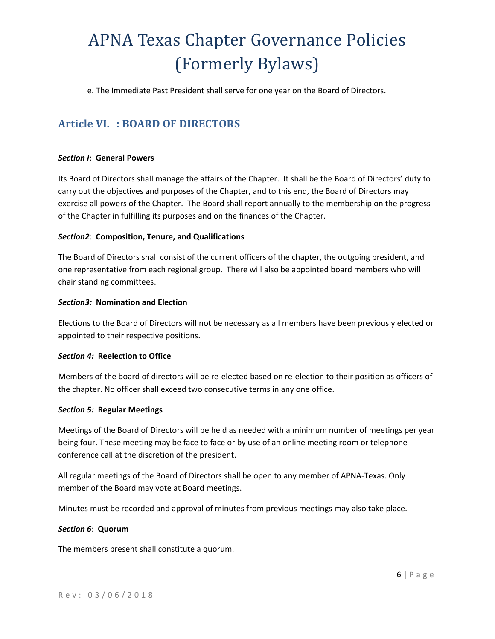e. The Immediate Past President shall serve for one year on the Board of Directors.

## **Article VI. : BOARD OF DIRECTORS**

#### *Section I*: **General Powers**

Its Board of Directors shall manage the affairs of the Chapter. It shall be the Board of Directors' duty to carry out the objectives and purposes of the Chapter, and to this end, the Board of Directors may exercise all powers of the Chapter. The Board shall report annually to the membership on the progress of the Chapter in fulfilling its purposes and on the finances of the Chapter.

#### *Section2*: **Composition, Tenure, and Qualifications**

The Board of Directors shall consist of the current officers of the chapter, the outgoing president, and one representative from each regional group. There will also be appointed board members who will chair standing committees.

#### *Section3:* **Nomination and Election**

Elections to the Board of Directors will not be necessary as all members have been previously elected or appointed to their respective positions.

#### *Section 4:* **Reelection to Office**

Members of the board of directors will be re‐elected based on re‐election to their position as officers of the chapter. No officer shall exceed two consecutive terms in any one office.

#### *Section 5:* **Regular Meetings**

Meetings of the Board of Directors will be held as needed with a minimum number of meetings per year being four. These meeting may be face to face or by use of an online meeting room or telephone conference call at the discretion of the president.

All regular meetings of the Board of Directors shall be open to any member of APNA‐Texas. Only member of the Board may vote at Board meetings.

Minutes must be recorded and approval of minutes from previous meetings may also take place.

#### *Section 6*: **Quorum**

The members present shall constitute a quorum.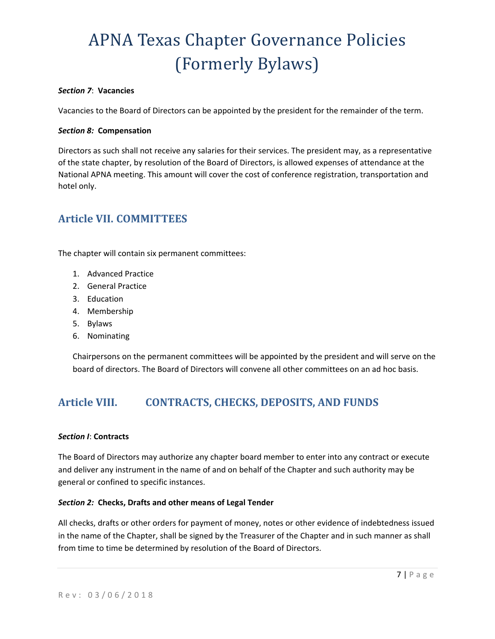#### *Section 7*: **Vacancies**

Vacancies to the Board of Directors can be appointed by the president for the remainder of the term.

#### *Section 8:* **Compensation**

Directors as such shall not receive any salaries for their services. The president may, as a representative of the state chapter, by resolution of the Board of Directors, is allowed expenses of attendance at the National APNA meeting. This amount will cover the cost of conference registration, transportation and hotel only.

## **Article VII. COMMITTEES**

The chapter will contain six permanent committees:

- 1. Advanced Practice
- 2. General Practice
- 3. Education
- 4. Membership
- 5. Bylaws
- 6. Nominating

Chairpersons on the permanent committees will be appointed by the president and will serve on the board of directors. The Board of Directors will convene all other committees on an ad hoc basis.

## **Article VIII. CONTRACTS, CHECKS, DEPOSITS, AND FUNDS**

#### *Section I*: **Contracts**

The Board of Directors may authorize any chapter board member to enter into any contract or execute and deliver any instrument in the name of and on behalf of the Chapter and such authority may be general or confined to specific instances.

#### *Section 2:* **Checks, Drafts and other means of Legal Tender**

All checks, drafts or other orders for payment of money, notes or other evidence of indebtedness issued in the name of the Chapter, shall be signed by the Treasurer of the Chapter and in such manner as shall from time to time be determined by resolution of the Board of Directors.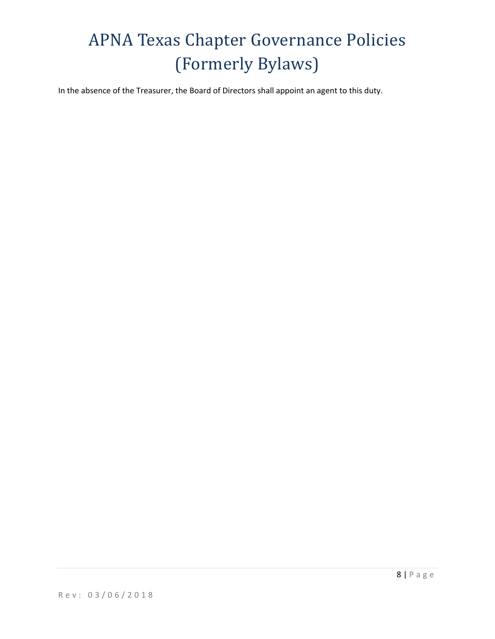In the absence of the Treasurer, the Board of Directors shall appoint an agent to this duty.